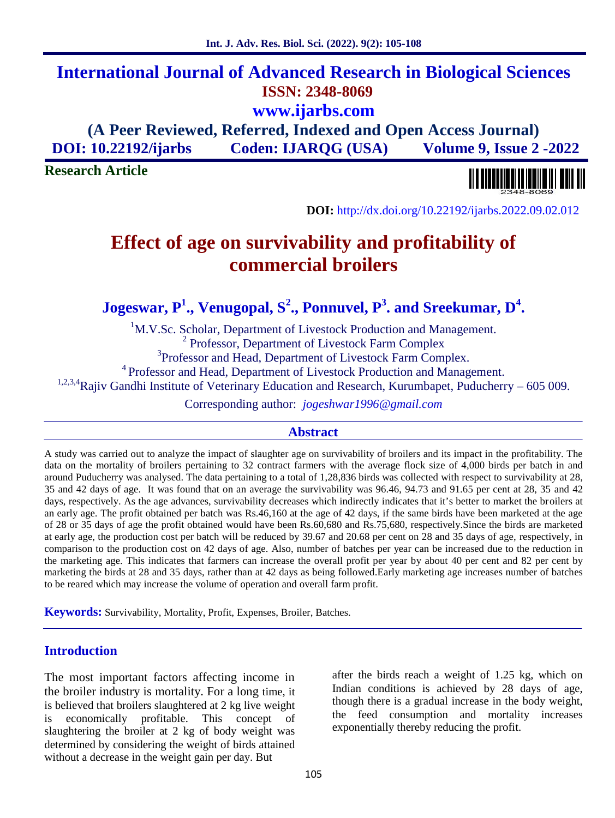after the birds reach a weight of 1.25 kg, which on Indian conditions is achieved by 28 days of age, though there is a gradual increase in the body weight,

the feed consumption and mortality increases

exponentially thereby reducing the profit.

# **International Journal of Advanced Research in Biological Sciences ISSN: 2348-8069 www.ijarbs.com**

**(A Peer Reviewed, Referred, Indexed and Open Access Journal) DOI: 10.22192/ijarbs Coden: IJARQG (USA) Volume 9, Issue 2 -2022**

**Research Article**



**DOI:** http://dx.doi.org/10.22192/ijarbs.2022.09.02.012

# **Effect of age on survivability and profitability of commercial broilers**

**Jogeswar, P<sup>1</sup> ., Venugopal, S<sup>2</sup> ., Ponnuvel, P<sup>3</sup> . and Sreekumar, D<sup>4</sup> .**

<sup>1</sup>M.V.Sc. Scholar, Department of Livestock Production and Management. <sup>2</sup> Professor, Department of Livestock Farm Complex <sup>3</sup>Professor and Head, Department of Livestock Farm Complex. <sup>4</sup> Professor and Head, Department of Livestock Production and Management. <sup>1,2,3,4</sup>Rajiv Gandhi Institute of Veterinary Education and Research, Kurumbapet, Puducherry – 605 009.

Corresponding author: *jogeshwar1996@gmail.com*

### **Abstract**

A study was carried out to analyze the impact of slaughter age on survivability of broilers and its impact in the profitability. The data on the mortality of broilers pertaining to 32 contract farmers with the average flock size of 4,000 birds per batch in and around Puducherry was analysed. The data pertaining to a total of 1,28,836 birds was collected with respect to survivability at 28, 35 and 42 days of age. It was found that on an average the survivability was 96.46, 94.73 and 91.65 per cent at 28, 35 and 42 days, respectively. As the age advances, survivability decreases which indirectly indicates that it's better to market the broilers at an early age. The profit obtained per batch was Rs.46,160 at the age of 42 days, if the same birds have been marketed at the age of 28 or 35 days of age the profit obtained would have been Rs.60,680 and Rs.75,680, respectively.Since the birds are marketed at early age, the production cost per batch will be reduced by 39.67 and 20.68 per cent on 28 and 35 days of age, respectively, in comparison to the production cost on 42 days of age. Also, number of batches per year can be increased due to the reduction in the marketing age. This indicates that farmers can increase the overall profit per year by about 40 per cent and 82 per cent by marketing the birds at 28 and 35 days, rather than at 42 days as being followed.Early marketing age increases number of batches to be reared which may increase the volume of operation and overall farm profit.

**Keywords:** Survivability, Mortality, Profit, Expenses, Broiler, Batches.

# **Introduction**

The most important factors affecting income in the broiler industry is mortality. For a long time, it is believed that broilers slaughtered at 2 kg live weight is economically profitable. This concept of slaughtering the broiler at 2 kg of body weight was determined by considering the weight of birds attained without a decrease in the weight gain per day. But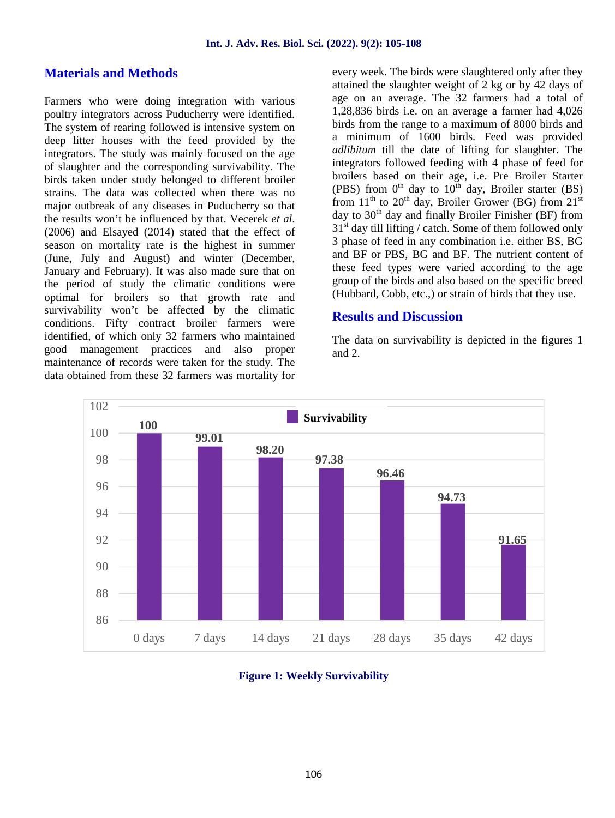#### **Materials and Methods**

Farmers who were doing integration with various poultry integrators across Puducherry were identified. The system of rearing followed is intensive system on deep litter houses with the feed provided by the integrators. The study was mainly focused on the age of slaughter and the corresponding survivability. The birds taken under study belonged to different broiler strains. The data was collected when there was no major outbreak of any diseases in Puducherry so that the results won't be influenced by that. Vecerek *et al*. (2006) and Elsayed (2014) stated that the effect of season on mortality rate is the highest in summer (June, July and August) and winter (December, January and February). It was also made sure that on the period of study the climatic conditions were optimal for broilers so that growth rate and survivability won't be affected by the climatic conditions. Fifty contract broiler farmers were identified, of which only 32 farmers who maintained good management practices and also proper maintenance of records were taken for the study. The data obtained from these 32 farmers was mortality for

every week. The birds were slaughtered only after they attained the slaughter weight of 2 kg or by 42 days of age on an average. The 32 farmers had a total of 1,28,836 birds i.e. on an average a farmer had 4,026 birds from the range to a maximum of 8000 birds and a minimum of 1600 birds. Feed was provided *adlibitum* till the date of lifting for slaughter. The integrators followed feeding with 4 phase of feed for broilers based on their age, i.e. Pre Broiler Starter (PBS) from  $0^{th}$  day to  $10^{th}$  day, Broiler starter (BS) from  $11<sup>th</sup>$  to  $20<sup>th</sup>$  day, Broiler Grower (BG) from  $21<sup>st</sup>$ day to  $30<sup>th</sup>$  day and finally Broiler Finisher (BF) from  $31<sup>st</sup>$  day till lifting / catch. Some of them followed only 3 phase of feed in any combination i.e. either BS, BG and BF or PBS, BG and BF. The nutrient content of these feed types were varied according to the age group of the birds and also based on the specific breed (Hubbard, Cobb, etc.,) or strain of birds that they use.

#### **Results and Discussion**

The data on survivability is depicted in the figures 1 and 2.



**Figure 1: Weekly Survivability**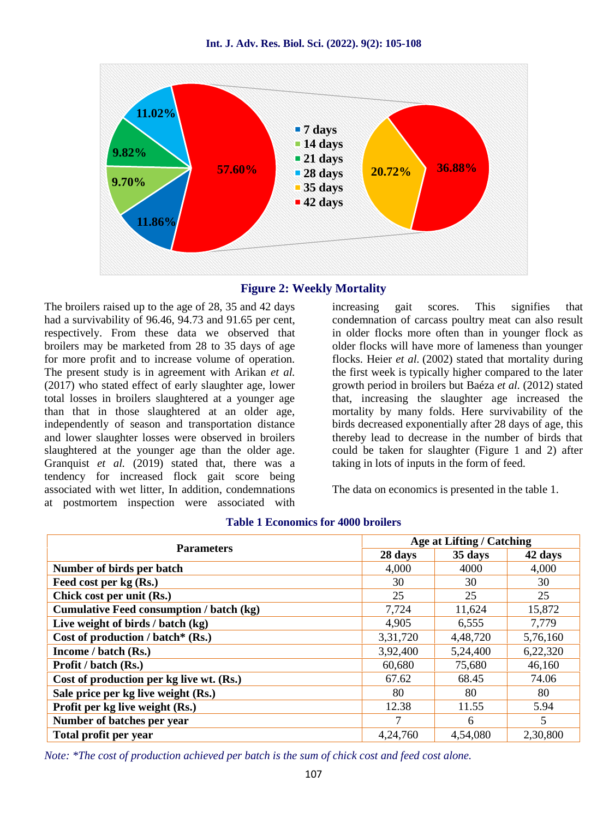



The broilers raised up to the age of 28, 35 and 42 days had a survivability of 96.46, 94.73 and 91.65 per cent, respectively. From these data we observed that broilers may be marketed from 28 to 35 days of age for more profit and to increase volume of operation. The present study is in agreement with Arikan *et al.* (2017) who stated effect of early slaughter age, lower total losses in broilers slaughtered at a younger age than that in those slaughtered at an older age, independently of season and transportation distance and lower slaughter losses were observed in broilers slaughtered at the younger age than the older age. Granquist *et al.* (2019) stated that, there was a tendency for increased flock gait score being associated with wet litter, In addition, condemnations at postmortem inspection were associated with

increasing gait scores. This signifies that condemnation of carcass poultry meat can also result in older flocks more often than in younger flock as older flocks will have more of lameness than younger flocks. Heier *et al.* (2002) stated that mortality during the first week is typically higher compared to the later growth period in broilers but Baéza *et al.* (2012) stated that, increasing the slaughter age increased the mortality by many folds. Here survivability of the birds decreased exponentially after 28 days of age, this thereby lead to decrease in the number of birds that could be taken for slaughter (Figure 1 and 2) after taking in lots of inputs in the form of feed.

The data on economics is presented in the table 1.

| <b>Parameters</b>                               |          | <b>Age at Lifting / Catching</b> |          |  |
|-------------------------------------------------|----------|----------------------------------|----------|--|
|                                                 | 28 days  | 35 days                          | 42 days  |  |
| Number of birds per batch                       | 4,000    | 4000                             | 4,000    |  |
| Feed cost per kg (Rs.)                          | 30       | 30                               | 30       |  |
| Chick cost per unit (Rs.)                       | 25       | 25                               | 25       |  |
| <b>Cumulative Feed consumption / batch (kg)</b> | 7,724    | 11,624                           | 15,872   |  |
| Live weight of birds / batch (kg)               | 4,905    | 6,555                            | 7,779    |  |
| Cost of production / batch* $(Rs.)$             | 3,31,720 | 4,48,720                         | 5,76,160 |  |
| Income / batch (Rs.)                            | 3,92,400 | 5,24,400                         | 6,22,320 |  |
| Profit / batch (Rs.)                            | 60,680   | 75,680                           | 46,160   |  |
| Cost of production per kg live wt. (Rs.)        | 67.62    | 68.45                            | 74.06    |  |
| Sale price per kg live weight (Rs.)             | 80       | 80                               | 80       |  |
| Profit per kg live weight (Rs.)                 | 12.38    | 11.55                            | 5.94     |  |
| Number of batches per year                      |          | 6                                | 5        |  |
| Total profit per year                           | 4,24,760 | 4,54,080                         | 2,30,800 |  |

#### **Table 1 Economics for 4000 broilers**

*Note: \*The cost of production achieved per batch is the sum of chick cost and feed cost alone.*